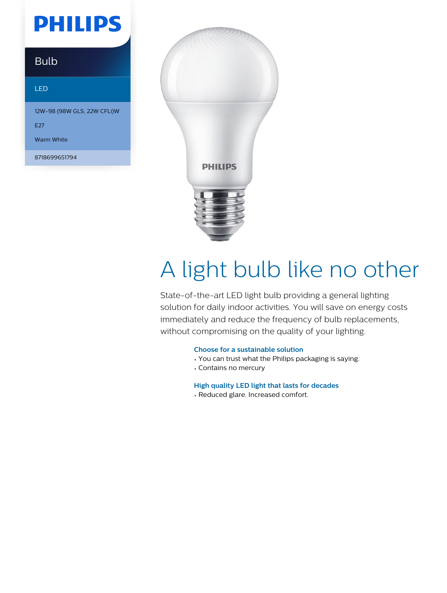## **PHILIPS**

### Bulb

#### LED

12W-98 (98W GLS, 22W CFLi)W

E27

Warm White

8718699651794



# A light bulb like no other

State-of-the-art LED light bulb providing a general lighting solution for daily indoor activities. You will save on energy costs immediately and reduce the frequency of bulb replacements, without compromising on the quality of your lighting.

#### **Choose for a sustainable solution**

- You can trust what the Philips packaging is saying.
- Contains no mercury

**High quality LED light that lasts for decades**

• Reduced glare. Increased comfort.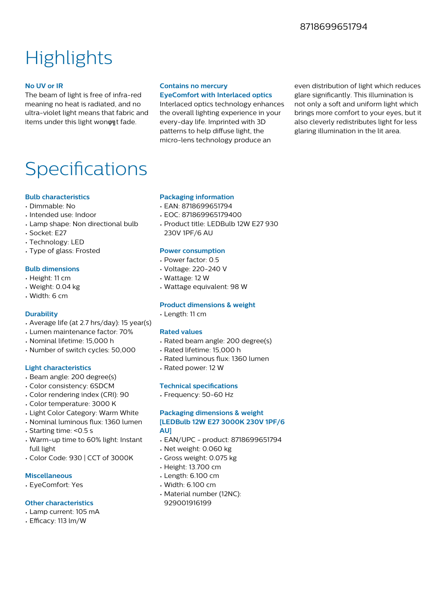### **Highlights**

#### **No UV or IR**

The beam of light is free of infra-red meaning no heat is radiated, and no ultra-violet light means that fabric and items under this light won on t fade.

#### **Contains no mercury**

**EyeComfort with Interlaced optics** Interlaced optics technology enhances the overall lighting experience in your every-day life. Imprinted with 3D patterns to help diffuse light, the micro-lens technology produce an

even distribution of light which reduces glare significantly. This illumination is not only a soft and uniform light which brings more comfort to your eyes, but it also cleverly redistributes light for less glaring illumination in the lit area.

### Specifications

#### **Bulb characteristics**

- Dimmable: No
- Intended use: Indoor
- Lamp shape: Non directional bulb
- Socket: E27
- Technology: LED
- Type of glass: Frosted

#### **Bulb dimensions**

- Height: 11 cm
- Weight: 0.04 kg
- Width: 6 cm

#### **Durability**

- Average life (at 2.7 hrs/day): 15 year(s)
- Lumen maintenance factor: 70%
- Nominal lifetime: 15,000 h
- Number of switch cycles: 50,000

#### **Light characteristics**

- Beam angle: 200 degree(s)
- Color consistency: 6SDCM
- Color rendering index (CRI): 90
- Color temperature: 3000 K
- Light Color Category: Warm White
- Nominal luminous flux: 1360 lumen
- Starting time: <0.5 s
- Warm-up time to 60% light: Instant full light
- Color Code: 930 | CCT of 3000K

#### **Miscellaneous**

• EyeComfort: Yes

#### **Other characteristics**

- Lamp current: 105 mA
- Efficacy: 113 lm/W

#### **Packaging information**

- EAN: 8718699651794
- EOC: 871869965179400
- Product title: LEDBulb 12W E27 930 230V 1PF/6 AU

#### **Power consumption**

- Power factor: 0.5
- Voltage: 220-240 V
- Wattage: 12 W
- Wattage equivalent: 98 W

#### **Product dimensions & weight**

• Length: 11 cm

#### **Rated values**

- Rated beam angle: 200 degree(s)
- Rated lifetime: 15,000 h
- Rated luminous flux: 1360 lumen
- Rated power: 12 W

#### **Technical specifications**

• Frequency: 50-60 Hz

#### **Packaging dimensions & weight [LEDBulb 12W E27 3000K 230V 1PF/6 AU]**

- EAN/UPC product: 8718699651794
- Net weight: 0.060 kg
- Gross weight: 0.075 kg
- Height: 13.700 cm
- Length: 6.100 cm
- Width: 6.100 cm
- Material number (12NC): 929001916199